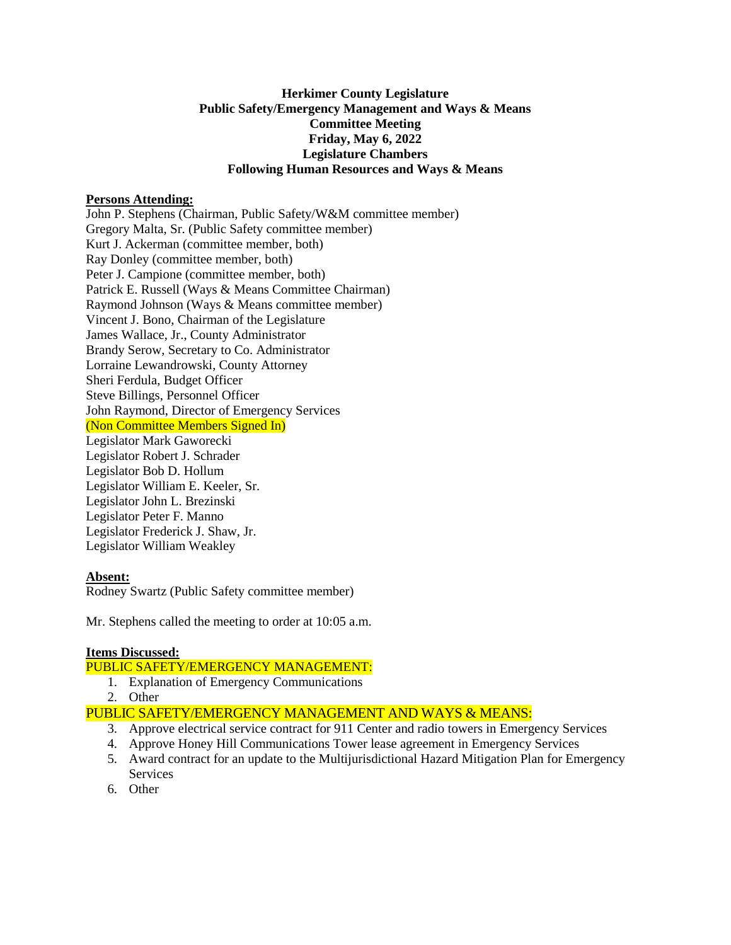# **Herkimer County Legislature Public Safety/Emergency Management and Ways & Means Committee Meeting Friday, May 6, 2022 Legislature Chambers Following Human Resources and Ways & Means**

# **Persons Attending:**

John P. Stephens (Chairman, Public Safety/W&M committee member) Gregory Malta, Sr. (Public Safety committee member) Kurt J. Ackerman (committee member, both) Ray Donley (committee member, both) Peter J. Campione (committee member, both) Patrick E. Russell (Ways & Means Committee Chairman) Raymond Johnson (Ways & Means committee member) Vincent J. Bono, Chairman of the Legislature James Wallace, Jr., County Administrator Brandy Serow, Secretary to Co. Administrator Lorraine Lewandrowski, County Attorney Sheri Ferdula, Budget Officer Steve Billings, Personnel Officer John Raymond, Director of Emergency Services (Non Committee Members Signed In) Legislator Mark Gaworecki Legislator Robert J. Schrader Legislator Bob D. Hollum Legislator William E. Keeler, Sr. Legislator John L. Brezinski Legislator Peter F. Manno Legislator Frederick J. Shaw, Jr. Legislator William Weakley

#### **Absent:**

Rodney Swartz (Public Safety committee member)

Mr. Stephens called the meeting to order at 10:05 a.m.

# **Items Discussed:**

# PUBLIC SAFETY/EMERGENCY MANAGEMENT:

- 1. Explanation of Emergency Communications
- 2. Other

# PUBLIC SAFETY/EMERGENCY MANAGEMENT AND WAYS & MEANS:

- 3. Approve electrical service contract for 911 Center and radio towers in Emergency Services
- 4. Approve Honey Hill Communications Tower lease agreement in Emergency Services
- 5. Award contract for an update to the Multijurisdictional Hazard Mitigation Plan for Emergency Services
- 6. Other